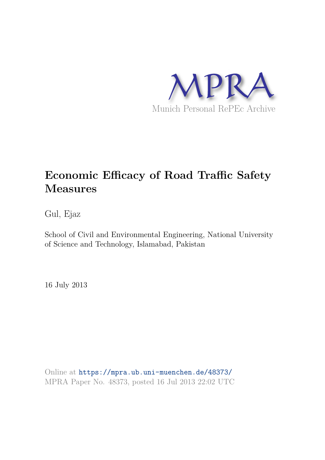

# **Economic Efficacy of Road Traffic Safety Measures**

Gul, Ejaz

School of Civil and Environmental Engineering, National University of Science and Technology, Islamabad, Pakistan

16 July 2013

Online at https://mpra.ub.uni-muenchen.de/48373/ MPRA Paper No. 48373, posted 16 Jul 2013 22:02 UTC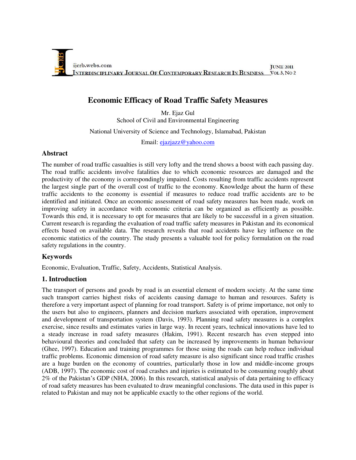

## **Economic Efficacy of Road Traffic Safety Measures**

Mr. Ejaz Gul School of Civil and Environmental Engineering

National University of Science and Technology, Islamabad, Pakistan

Email: [ejazjazz@yahoo.com](mailto:ejazjazz@yahoo.com)

#### **Abstract**

The number of road traffic casualties is still very lofty and the trend shows a boost with each passing day. The road traffic accidents involve fatalities due to which economic resources are damaged and the productivity of the economy is correspondingly impaired. Costs resulting from traffic accidents represent the largest single part of the overall cost of traffic to the economy. Knowledge about the harm of these traffic accidents to the economy is essential if measures to reduce road traffic accidents are to be identified and initiated. Once an economic assessment of road safety measures has been made, work on improving safety in accordance with economic criteria can be organized as efficiently as possible. Towards this end, it is necessary to opt for measures that are likely to be successful in a given situation. Current research is regarding the evaluation of road traffic safety measures in Pakistan and its economical effects based on available data. The research reveals that road accidents have key influence on the economic statistics of the country. The study presents a valuable tool for policy formulation on the road safety regulations in the country.

#### **Keywords**

Economic, Evaluation, Traffic, Safety, Accidents, Statistical Analysis.

## **1. Introduction**

The transport of persons and goods by road is an essential element of modern society. At the same time such transport carries highest risks of accidents causing damage to human and resources. Safety is therefore a very important aspect of planning for road transport. Safety is of prime importance, not only to the users but also to engineers, planners and decision markers associated with operation, improvement and development of transportation system (Davis, 1993). Planning road safety measures is a complex exercise, since results and estimates varies in large way. In recent years, technical innovations have led to a steady increase in road safety measures (Hakim, 1991). Recent research has even stepped into behavioural theories and concluded that safety can be increased by improvements in human behaviour (Ghee, 1997). Education and training programmes for those using the roads can help reduce individual traffic problems. Economic dimension of road safety measure is also significant since road traffic crashes are a huge burden on the economy of countries, particularly those in low and middle-income groups (ADB, 1997). The economic cost of road crashes and injuries is estimated to be consuming roughly about 2% of the Pakistan's GDP (NHA, 2006). In this research, statistical analysis of data pertaining to efficacy of road safety measures has been evaluated to draw meaningful conclusions. The data used in this paper is related to Pakistan and may not be applicable exactly to the other regions of the world.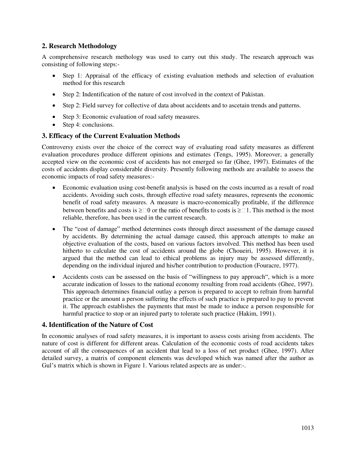## **2. Research Methodology**

A comprehensive research methology was used to carry out this study. The research approach was consisting of following steps:-

- Step 1: Appraisal of the efficacy of existing evaluation methods and selection of evaluation method for this research
- Step 2: Indentification of the nature of cost involved in the context of Pakistan.
- Step 2: Field survey for collective of data about accidents and to ascetain trends and patterns.
- Step 3: Economic evaluation of road safety measures.
- Step 4: conclusions.

#### **3. Efficacy of the Current Evaluation Methods**

Controversy exists over the choice of the correct way of evaluating road safety measures as different evaluation procedures produce different opinions and estimates (Tengs, 1995). Moreover, a generally accepted view on the economic cost of accidents has not emerged so far (Ghee, 1997). Estimates of the costs of accidents display considerable diversity. Presently following methods are available to assess the economic impacts of road safety measures:-

- Economic evaluation using cost-benefit analysis is based on the costs incurred as a result of road accidents. Avoiding such costs, through effective road safety measures, represents the economic benefit of road safety measures. A measure is macro-economically profitable, if the difference between benefits and costs is  $\geq 0$  or the ratio of benefits to costs is  $\geq 1$ . This method is the most reliable, therefore, has been used in the current research.
- The "cost of damage" method determines costs through direct assessment of the damage caused by accidents. By determining the actual damage caused, this approach attempts to make an objective evaluation of the costs, based on various factors involved. This method has been used hitherto to calculate the cost of accidents around the globe (Choueiri, 1995). However, it is argued that the method can lead to ethical problems as injury may be assessed differently, depending on the individual injured and his/her contribution to production (Fouracre, 1977).
- Accidents costs can be assessed on the basis of "willingness to pay approach", which is a more accurate indication of losses to the national economy resulting from road accidents (Ghee, 1997). This approach determines financial outlay a person is prepared to accept to refrain from harmful practice or the amount a person suffering the effects of such practice is prepared to pay to prevent it. The approach establishes the payments that must be made to induce a person responsible for harmful practice to stop or an injured party to tolerate such practice (Hakim, 1991).

#### **4. Identification of the Nature of Cost**

In economic analyses of road safety measures, it is important to assess costs arising from accidents. The nature of cost is different for different areas. Calculation of the economic costs of road accidents takes account of all the consequences of an accident that lead to a loss of net product (Ghee, 1997). After detailed survey, a matrix of component elements was developed which was named after the author as Gul's matrix which is shown in Figure 1. Various related aspects are as under:-.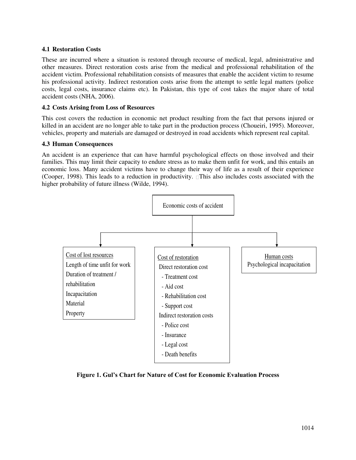#### **4.1 Restoration Costs**

These are incurred where a situation is restored through recourse of medical, legal, administrative and other measures. Direct restoration costs arise from the medical and professional rehabilitation of the accident victim. Professional rehabilitation consists of measures that enable the accident victim to resume his professional activity. Indirect restoration costs arise from the attempt to settle legal matters (police costs, legal costs, insurance claims etc). In Pakistan, this type of cost takes the major share of total accident costs (NHA, 2006).

#### **4.2 Costs Arising from Loss of Resources**

This cost covers the reduction in economic net product resulting from the fact that persons injured or killed in an accident are no longer able to take part in the production process (Choueiri, 1995). Moreover, vehicles, property and materials are damaged or destroyed in road accidents which represent real capital.

#### **4.3 Human Consequences**

An accident is an experience that can have harmful psychological effects on those involved and their families. This may limit their capacity to endure stress as to make them unfit for work, and this entails an economic loss. Many accident victims have to change their way of life as a result of their experience (Cooper, 1998). This leads to a reduction in productivity.  $\Box$  This also includes costs associated with the higher probability of future illness (Wilde, 1994).



**Figure 1. Gul's Chart for Nature of Cost for Economic Evaluation Process**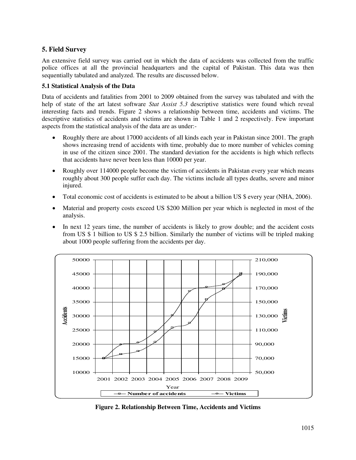## **5. Field Survey**

An extensive field survey was carried out in which the data of accidents was collected from the traffic police offices at all the provincial headquarters and the capital of Pakistan. This data was then sequentially tabulated and analyzed. The results are discussed below.

#### **5.1 Statistical Analysis of the Data**

Data of accidents and fatalities from 2001 to 2009 obtained from the survey was tabulated and with the help of state of the art latest software *Stat Assist 5.3* descriptive statistics were found which reveal interesting facts and trends. Figure 2 shows a relationship between time, accidents and victims. The descriptive statistics of accidents and victims are shown in Table 1 and 2 respectively. Few important aspects from the statistical analysis of the data are as under:-

- Roughly there are about 17000 accidents of all kinds each year in Pakistan since 2001. The graph shows increasing trend of accidents with time, probably due to more number of vehicles coming in use of the citizen since 2001. The standard deviation for the accidents is high which reflects that accidents have never been less than 10000 per year.
- Roughly over 114000 people become the victim of accidents in Pakistan every year which means roughly about 300 people suffer each day. The victims include all types deaths, severe and minor injured.
- Total economic cost of accidents is estimated to be about a billion US \$ every year (NHA, 2006).
- Material and property costs exceed US \$200 Million per year which is neglected in most of the analysis.
- In next 12 years time, the number of accidents is likely to grow double; and the accident costs from US \$ 1 billion to US \$ 2.5 billion. Similarly the number of victims will be tripled making about 1000 people suffering from the accidents per day.



**Figure 2. Relationship Between Time, Accidents and Victims**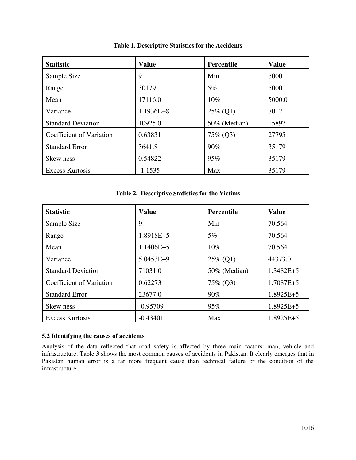| <b>Statistic</b>          | <b>Value</b>  | <b>Percentile</b> | <b>Value</b> |
|---------------------------|---------------|-------------------|--------------|
| Sample Size               | 9             | Min               | 5000         |
| Range                     | 30179         | $5\%$             | 5000         |
| Mean                      | 17116.0       | 10%               | 5000.0       |
| Variance                  | $1.1936E + 8$ | $25\%$ (Q1)       | 7012         |
| <b>Standard Deviation</b> | 10925.0       | 50% (Median)      | 15897        |
| Coefficient of Variation  | 0.63831       | 75\% (Q3)         | 27795        |
| <b>Standard Error</b>     | 3641.8        | $90\%$            | 35179        |
| Skew ness                 | 0.54822       | 95%               | 35179        |
| <b>Excess Kurtosis</b>    | $-1.1535$     | Max               | 35179        |

**Table 1. Descriptive Statistics for the Accidents** 

#### **Table 2. Descriptive Statistics for the Victims**

| <b>Statistic</b>          | <b>Value</b>  | <b>Percentile</b> | <b>Value</b>  |
|---------------------------|---------------|-------------------|---------------|
| Sample Size               | 9             | Min               | 70.564        |
| Range                     | $1.8918E + 5$ | $5\%$             | 70.564        |
| Mean                      | $1.1406E + 5$ | $10\%$            | 70.564        |
| Variance                  | $5.0453E+9$   | $25\%$ (Q1)       | 44373.0       |
| <b>Standard Deviation</b> | 71031.0       | 50% (Median)      | $1.3482E + 5$ |
| Coefficient of Variation  | 0.62273       | $75\%$ (Q3)       | $1.7087E + 5$ |
| <b>Standard Error</b>     | 23677.0       | $90\%$            | $1.8925E+5$   |
| Skew ness                 | $-0.95709$    | 95%               | $1.8925E + 5$ |
| <b>Excess Kurtosis</b>    | $-0.43401$    | Max               | $1.8925E + 5$ |

#### **5.2 Identifying the causes of accidents**

Analysis of the data reflected that road safety is affected by three main factors: man, vehicle and infrastructure. Table 3 shows the most common causes of accidents in Pakistan. It clearly emerges that in Pakistan human error is a far more frequent cause than technical failure or the condition of the infrastructure.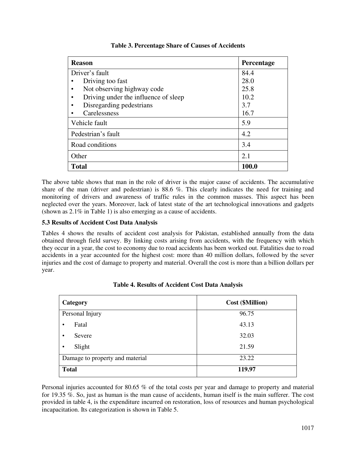| <b>Reason</b>                        | Percentage |
|--------------------------------------|------------|
| Driver's fault                       | 84.4       |
| Driving too fast                     | 28.0       |
| Not observing highway code           | 25.8       |
| Driving under the influence of sleep | 10.2       |
| Disregarding pedestrians             | 3.7        |
| Carelessness                         | 16.7       |
| Vehicle fault                        | 5.9        |
| Pedestrian's fault                   | 4.2        |
| Road conditions                      | 3.4        |
| Other                                | 2.1        |
| <b>Total</b>                         | 100.0      |

#### **Table 3. Percentage Share of Causes of Accidents**

The above table shows that man in the role of driver is the major cause of accidents. The accumulative share of the man (driver and pedestrian) is 88.6 %. This clearly indicates the need for training and monitoring of drivers and awareness of traffic rules in the common masses. This aspect has been neglected over the years. Moreover, lack of latest state of the art technological innovations and gadgets (shown as 2.1% in Table 1) is also emerging as a cause of accidents.

## **5.3 Results of Accident Cost Data Analysis**

Tables 4 shows the results of accident cost analysis for Pakistan, established annually from the data obtained through field survey. By linking costs arising from accidents, with the frequency with which they occur in a year, the cost to economy due to road accidents has been worked out. Fatalities due to road accidents in a year accounted for the highest cost: more than 40 million dollars, followed by the sever injuries and the cost of damage to property and material. Overall the cost is more than a billion dollars per year.

| Category                        | <b>Cost (\$Million)</b> |  |
|---------------------------------|-------------------------|--|
| Personal Injury                 | 96.75                   |  |
| Fatal                           | 43.13                   |  |
| Severe                          | 32.03                   |  |
| Slight<br>٠                     | 21.59                   |  |
| Damage to property and material | 23.22                   |  |
| <b>Total</b>                    | 119.97                  |  |

**Table 4. Results of Accident Cost Data Analysis** 

Personal injuries accounted for 80.65 % of the total costs per year and damage to property and material for 19.35 %. So, just as human is the man cause of accidents, human itself is the main sufferer. The cost provided in table 4, is the expenditure incurred on restoration, loss of resources and human psychological incapacitation. Its categorization is shown in Table 5.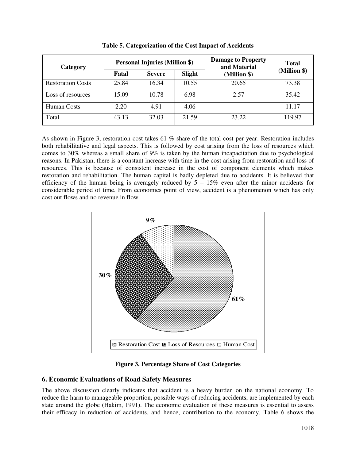| Category                 | <b>Personal Injuries (Million \$)</b> |               | <b>Damage to Property</b><br>and Material | <b>Total</b> |              |
|--------------------------|---------------------------------------|---------------|-------------------------------------------|--------------|--------------|
|                          | Fatal                                 | <b>Severe</b> | <b>Slight</b>                             | (Million \$) | (Million \$) |
| <b>Restoration Costs</b> | 25.84                                 | 16.34         | 10.55                                     | 20.65        | 73.38        |
| Loss of resources        | 15.09                                 | 10.78         | 6.98                                      | 2.57         | 35.42        |
| Human Costs              | 2.20                                  | 4.91          | 4.06                                      |              | 11.17        |
| Total                    | 43.13                                 | 32.03         | 21.59                                     | 23.22        | 119.97       |

**Table 5. Categorization of the Cost Impact of Accidents**

As shown in Figure 3, restoration cost takes 61 % share of the total cost per year. Restoration includes both rehabilitative and legal aspects. This is followed by cost arising from the loss of resources which comes to 30% whereas a small share of 9% is taken by the human incapacitation due to psychological reasons. In Pakistan, there is a constant increase with time in the cost arising from restoration and loss of resources. This is because of consistent increase in the cost of component elements which makes restoration and rehabilitation. The human capital is badly depleted due to accidents. It is believed that efficiency of the human being is averagely reduced by  $5 - 15\%$  even after the minor accidents for considerable period of time. From economics point of view, accident is a phenomenon which has only cost out flows and no revenue in flow.



**Figure 3. Percentage Share of Cost Categories** 

## **6. Economic Evaluations of Road Safety Measures**

The above discussion clearly indicates that accident is a heavy burden on the national economy. To reduce the harm to manageable proportion, possible ways of reducing accidents, are implemented by each state around the globe (Hakim, 1991). The economic evaluation of these measures is essential to assess their efficacy in reduction of accidents, and hence, contribution to the economy. Table 6 shows the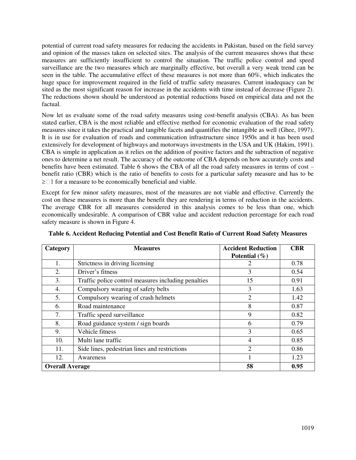potential of current road safety measures for reducing the accidents in Pakistan, based on the field survey and opinion of the masses taken on selected sites. The analysis of the current measures shows that these measures are sufficiently insufficient to control the situation. The traffic police control and speed surveillance are the two measures which are marginally effective, but overall a very weak trend can be seen in the table. The accumulative effect of these measures is not more than 60%, which indicates the huge space for improvement required in the field of traffic safety measures. Current inadequacy can be sited as the most significant reason for increase in the accidents with time instead of decrease (Figure 2). The reductions shown should be understood as potential reductions based on empirical data and not the factual.

Now let us evaluate some of the road safety measures using cost-benefit analysis (CBA). As has been stated earlier, CBA is the most reliable and effective method for economic evaluation of the road safety measures since it takes the practical and tangible facets and quantifies the intangible as well (Ghee, 1997). It is in use for evaluation of roads and communication infrastructure since 1950s and it has been used extensively for development of highways and motorways investments in the USA and UK (Hakim, 1991). CBA is simple in application as it relies on the addition of positive factors and the subtraction of negative ones to determine a net result. The [accuracy](http://en.wikipedia.org/wiki/Accuracy) of the outcome of CBA depends on how accurately [costs](http://en.wikipedia.org/wiki/Cost) and benefits have been [estimated.](http://en.wikipedia.org/wiki/Estimated) Table 6 shows the CBA of all the road safety measures in terms of cost – benefit ratio (CBR) which is the ratio of benefits to costs for a particular safety measure and has to be  $\geq$  1 for a measure to be economically beneficial and viable.

Except for few minor safety measures, most of the measures are not viable and effective. Currently the cost on these measures is more than the benefit they are rendering in terms of reduction in the accidents. The average CBR for all measures considered in this analysis comes to be less than one, which economically undesirable. A comparison of CBR value and accident reduction percentage for each road safety measure is shown in Figure 4.

| Category               | <b>Measures</b>                                     | <b>Accident Reduction</b> | <b>CBR</b> |
|------------------------|-----------------------------------------------------|---------------------------|------------|
|                        |                                                     | Potential $(\% )$         |            |
| 1.                     | Strictness in driving licensing                     |                           | 0.78       |
| 2.                     | Driver's fitness                                    | 3                         | 0.54       |
| 3.                     | Traffic police control measures including penalties | 15                        | 0.91       |
| 4.                     | Compulsory wearing of safety belts                  | 3                         | 1.63       |
| 5.                     | Compulsory wearing of crash helmets                 | 2                         | 1.42       |
| 6.                     | Road maintenance                                    | 8                         | 0.87       |
| 7.                     | Traffic speed surveillance                          | 9                         | 0.82       |
| 8.                     | Road guidance system / sign boards                  | 6                         | 0.79       |
| 9.                     | Vehicle fitness                                     | 3                         | 0.65       |
| 10.                    | Multi lane traffic                                  | $\overline{4}$            | 0.85       |
| 11.                    | Side lines, pedestrian lines and restrictions       | $\overline{2}$            | 0.86       |
| 12.                    | Awareness                                           |                           | 1.23       |
| <b>Overall Average</b> |                                                     | 58                        | 0.95       |

**Table 6. Accident Reducing Potential and Cost Benefit Ratio of Current Road Safety Measures**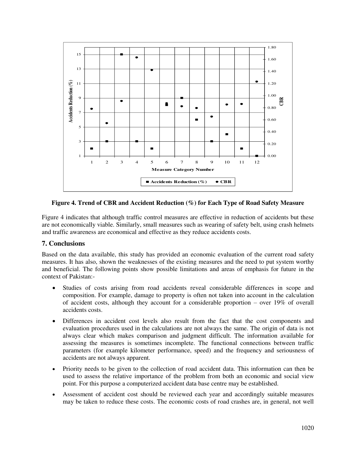

**Figure 4. Trend of CBR and Accident Reduction (%) for Each Type of Road Safety Measure** 

Figure 4 indicates that although traffic control measures are effective in reduction of accidents but these are not economically viable. Similarly, small measures such as wearing of safety belt, using crash helmets and traffic awareness are economical and effective as they reduce accidents costs.

## **7. Conclusions**

Based on the data available, this study has provided an economic evaluation of the current road safety measures. It has also, shown the weaknesses of the existing measures and the need to put system worthy and beneficial. The following points show possible limitations and areas of emphasis for future in the context of Pakistan:-

- Studies of costs arising from road accidents reveal considerable differences in scope and composition. For example, damage to property is often not taken into account in the calculation of accident costs, although they account for a considerable proportion – over 19% of overall accidents costs.
- Differences in accident cost levels also result from the fact that the cost components and evaluation procedures used in the calculations are not always the same. The origin of data is not always clear which makes comparison and judgment difficult. The information available for assessing the measures is sometimes incomplete. The functional connections between traffic parameters (for example kilometer performance, speed) and the frequency and seriousness of accidents are not always apparent.
- Priority needs to be given to the collection of road accident data. This information can then be used to assess the relative importance of the problem from both an economic and social view point. For this purpose a computerized accident data base centre may be established.
- Assessment of accident cost should be reviewed each year and accordingly suitable measures may be taken to reduce these costs. The economic costs of road crashes are, in general, not well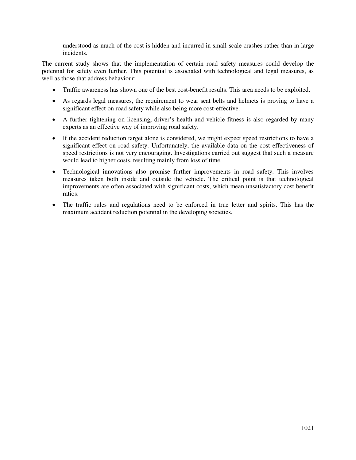understood as much of the cost is hidden and incurred in small-scale crashes rather than in large incidents.

The current study shows that the implementation of certain road safety measures could develop the potential for safety even further. This potential is associated with technological and legal measures, as well as those that address behaviour:

- Traffic awareness has shown one of the best cost-benefit results. This area needs to be exploited.
- As regards legal measures, the requirement to wear seat belts and helmets is proving to have a significant effect on road safety while also being more cost-effective.
- A further tightening on licensing, driver's health and vehicle fitness is also regarded by many experts as an effective way of improving road safety.
- If the accident reduction target alone is considered, we might expect speed restrictions to have a significant effect on road safety. Unfortunately, the available data on the cost effectiveness of speed restrictions is not very encouraging. Investigations carried out suggest that such a measure would lead to higher costs, resulting mainly from loss of time.
- Technological innovations also promise further improvements in road safety. This involves measures taken both inside and outside the vehicle. The critical point is that technological improvements are often associated with significant costs, which mean unsatisfactory cost benefit ratios.
- The traffic rules and regulations need to be enforced in true letter and spirits. This has the maximum accident reduction potential in the developing societies.